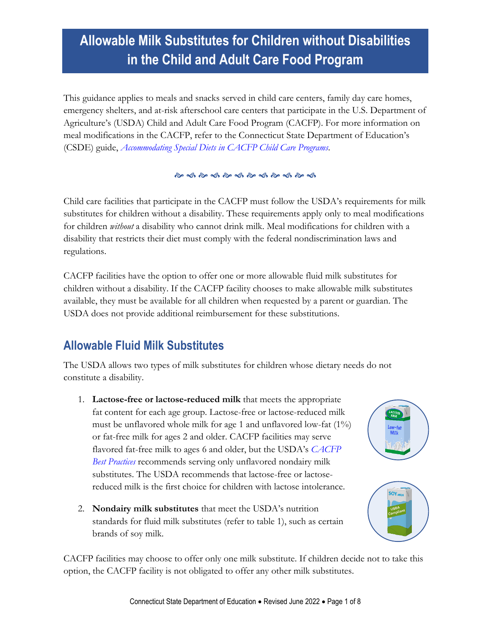# **Allowable Milk Substitutes for Children without Disabilities in the Child and Adult Care Food Program**

This guidance applies to meals and snacks served in child care centers, family day care homes, emergency shelters, and at-risk afterschool care centers that participate in the U.S. Department of Agriculture's (USDA) Child and Adult Care Food Program (CACFP). For more information on meal modifications in the CACFP, refer to the Connecticut State Department of Education's (CSDE) guide, *[Accommodating Special Diets in CACFP Child Care Programs.](https://portal.ct.gov/-/media/SDE/Nutrition/CACFP/SpecDiet/Guide_Special_Diets_CACFP.pdf)*

#### 

Child care facilities that participate in the CACFP must follow the USDA's requirements for milk substitutes for children without a disability. These requirements apply only to meal modifications for children *without* a disability who cannot drink milk. Meal modifications for children with a disability that restricts their diet must comply with the federal nondiscrimination laws and regulations.

CACFP facilities have the option to offer one or more allowable fluid milk substitutes for children without a disability. If the CACFP facility chooses to make allowable milk substitutes available, they must be available for all children when requested by a parent or guardian. The USDA does not provide additional reimbursement for these substitutions.

#### **Allowable Fluid Milk Substitutes**

The USDA allows two types of milk substitutes for children whose dietary needs do not constitute a disability.

- 1. **Lactose-free or lactose-reduced milk** that meets the appropriate fat content for each age group. Lactose-free or lactose-reduced milk must be unflavored whole milk for age 1 and unflavored low-fat (1%) or fat-free milk for ages 2 and older. CACFP facilities may serve flavored fat-free milk to ages 6 and older, but the USDA's *[CACFP](https://fns-prod.azureedge.us/sites/default/files/cacfp/CACFP_factBP.pdf)  [Best Practices](https://fns-prod.azureedge.us/sites/default/files/cacfp/CACFP_factBP.pdf)* recommends serving only unflavored nondairy milk substitutes. The USDA recommends that lactose-free or lactosereduced milk is the first choice for children with lactose intolerance.
- 2. **Nondairy milk substitutes** that meet the USDA's nutrition standards for fluid milk substitutes (refer to table 1), such as certain brands of soy milk.

CACFP facilities may choose to offer only one milk substitute. If children decide not to take this option, the CACFP facility is not obligated to offer any other milk substitutes.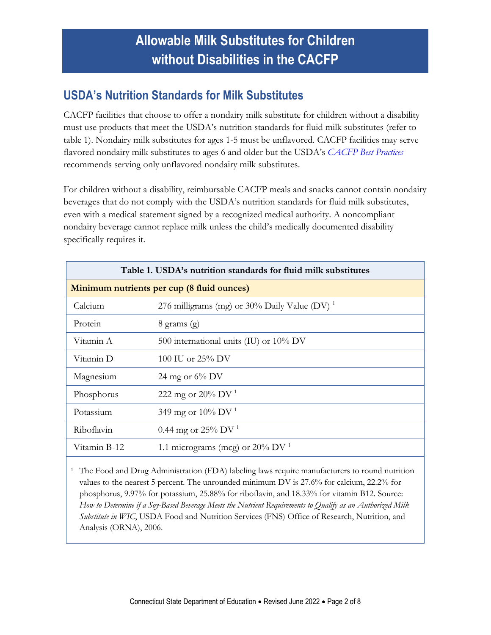### **USDA's Nutrition Standards for Milk Substitutes**

CACFP facilities that choose to offer a nondairy milk substitute for children without a disability must use products that meet the USDA's nutrition standards for fluid milk substitutes (refer to table 1). Nondairy milk substitutes for ages 1-5 must be unflavored. CACFP facilities may serve flavored nondairy milk substitutes to ages 6 and older but the USDA's *[CACFP Best Practices](https://fns-prod.azureedge.us/sites/default/files/cacfp/CACFP_factBP.pdf)* recommends serving only unflavored nondairy milk substitutes.

For children without a disability, reimbursable CACFP meals and snacks cannot contain nondairy beverages that do not comply with the USDA's nutrition standards for fluid milk substitutes, even with a medical statement signed by a recognized medical authority. A noncompliant nondairy beverage cannot replace milk unless the child's medically documented disability specifically requires it.

<span id="page-1-0"></span>

| Table 1. USDA's nutrition standards for fluid milk substitutes |                                                          |  |  |  |
|----------------------------------------------------------------|----------------------------------------------------------|--|--|--|
| Minimum nutrients per cup (8 fluid ounces)                     |                                                          |  |  |  |
| Calcium                                                        | 276 milligrams (mg) or 30% Daily Value (DV) <sup>1</sup> |  |  |  |
| Protein                                                        | $8 \text{ grams}$ (g)                                    |  |  |  |
| Vitamin A                                                      | 500 international units (IU) or 10% DV                   |  |  |  |
| Vitamin D                                                      | 100 IU or $25\%$ DV                                      |  |  |  |
| Magnesium                                                      | 24 mg or $6\%$ DV                                        |  |  |  |
| Phosphorus                                                     | 222 mg or 20% DV <sup>1</sup>                            |  |  |  |
| Potassium                                                      | 349 mg or 10% DV <sup>1</sup>                            |  |  |  |
| Riboflavin                                                     | 0.44 mg or 25% DV $^{1}$                                 |  |  |  |
| Vitamin B-12                                                   | 1.1 micrograms (mcg) or $20\%$ DV <sup>1</sup>           |  |  |  |

<sup>1</sup> The Food and Drug Administration (FDA) labeling laws require manufacturers to round nutrition values to the nearest 5 percent. The unrounded minimum DV is 27.6% for calcium, 22.2% for phosphorus, 9.97% for potassium, 25.88% for riboflavin, and 18.33% for vitamin B12. Source: *How to Determine if a Soy-Based Beverage Meets the Nutrient Requirements to Qualify as an Authorized Milk Substitute in WIC*, USDA Food and Nutrition Services (FNS) Office of Research, Nutrition, and Analysis (ORNA), 2006.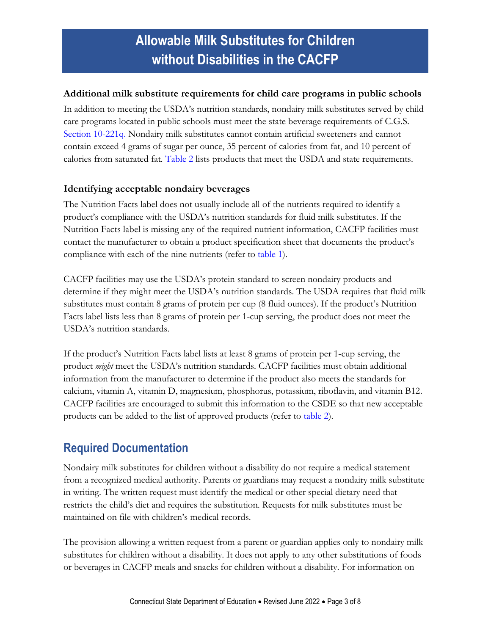#### **Additional milk substitute requirements for child care programs in public schools**

In addition to meeting the USDA's nutrition standards, nondairy milk substitutes served by child care programs located in public schools must meet the state beverage requirements of C.G.S. [Section 10-221q.](https://www.cga.ct.gov/current/pub/chap_170.htm#sec_10-221q) Nondairy milk substitutes cannot contain artificial sweeteners and cannot contain exceed 4 grams of sugar per ounce, 35 percent of calories from fat, and 10 percent of calories from saturated fat. [Table 2](#page-4-0) lists products that meet the USDA and state requirements.

#### **Identifying acceptable nondairy beverages**

The Nutrition Facts label does not usually include all of the nutrients required to identify a product's compliance with the USDA's nutrition standards for fluid milk substitutes. If the Nutrition Facts label is missing any of the required nutrient information, CACFP facilities must contact the manufacturer to obtain a product specification sheet that documents the product's compliance with each of the nine nutrients (refer to [table 1\)](#page-1-0).

CACFP facilities may use the USDA's protein standard to screen nondairy products and determine if they might meet the USDA's nutrition standards. The USDA requires that fluid milk substitutes must contain 8 grams of protein per cup (8 fluid ounces). If the product's Nutrition Facts label lists less than 8 grams of protein per 1-cup serving, the product does not meet the USDA's nutrition standards.

If the product's Nutrition Facts label lists at least 8 grams of protein per 1-cup serving, the product *might* meet the USDA's nutrition standards. CACFP facilities must obtain additional information from the manufacturer to determine if the product also meets the standards for calcium, vitamin A, vitamin D, magnesium, phosphorus, potassium, riboflavin, and vitamin B12. CACFP facilities are encouraged to submit this information to the CSDE so that new acceptable products can be added to the list of approved products (refer to [table 2\)](#page-4-0).

#### **Required Documentation**

Nondairy milk substitutes for children without a disability do not require a medical statement from a recognized medical authority. Parents or guardians may request a nondairy milk substitute in writing. The written request must identify the medical or other special dietary need that restricts the child's diet and requires the substitution. Requests for milk substitutes must be maintained on file with children's medical records.

The provision allowing a written request from a parent or guardian applies only to nondairy milk substitutes for children without a disability. It does not apply to any other substitutions of foods or beverages in CACFP meals and snacks for children without a disability. For information on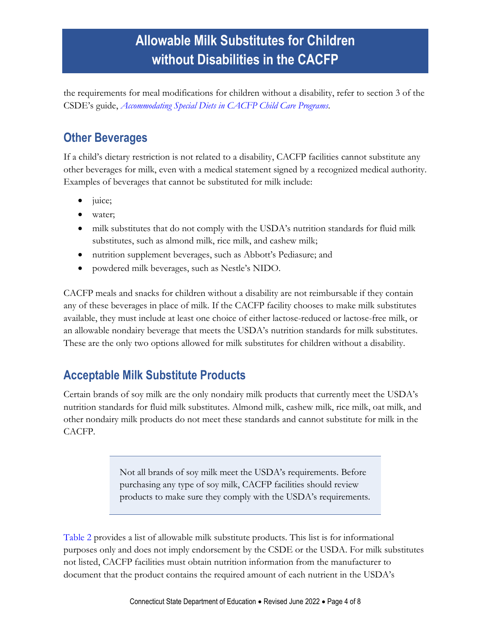the requirements for meal modifications for children without a disability, refer to section 3 of the CSDE's guide, *[Accommodating Special Diets in CACFP Child Care Programs.](https://portal.ct.gov/-/media/SDE/Nutrition/CACFP/SpecDiet/Guide_Special_Diets_CACFP.pdf)*

### **Other Beverages**

If a child's dietary restriction is not related to a disability, CACFP facilities cannot substitute any other beverages for milk, even with a medical statement signed by a recognized medical authority. Examples of beverages that cannot be substituted for milk include:

- juice;
- water;
- milk substitutes that do not comply with the USDA's nutrition standards for fluid milk substitutes, such as almond milk, rice milk, and cashew milk;
- nutrition supplement beverages, such as Abbott's Pediasure; and
- powdered milk beverages, such as Nestle's NIDO.

CACFP meals and snacks for children without a disability are not reimbursable if they contain any of these beverages in place of milk. If the CACFP facility chooses to make milk substitutes available, they must include at least one choice of either lactose-reduced or lactose-free milk, or an allowable nondairy beverage that meets the USDA's nutrition standards for milk substitutes. These are the only two options allowed for milk substitutes for children without a disability.

### **Acceptable Milk Substitute Products**

Certain brands of soy milk are the only nondairy milk products that currently meet the USDA's nutrition standards for fluid milk substitutes. Almond milk, cashew milk, rice milk, oat milk, and other nondairy milk products do not meet these standards and cannot substitute for milk in the CACFP.

> Not all brands of soy milk meet the USDA's requirements. Before purchasing any type of soy milk, CACFP facilities should review products to make sure they comply with the USDA's requirements.

[Table 2](#page-4-0) provides a list of allowable milk substitute products. This list is for informational purposes only and does not imply endorsement by the CSDE or the USDA. For milk substitutes not listed, CACFP facilities must obtain nutrition information from the manufacturer to document that the product contains the required amount of each nutrient in the USDA's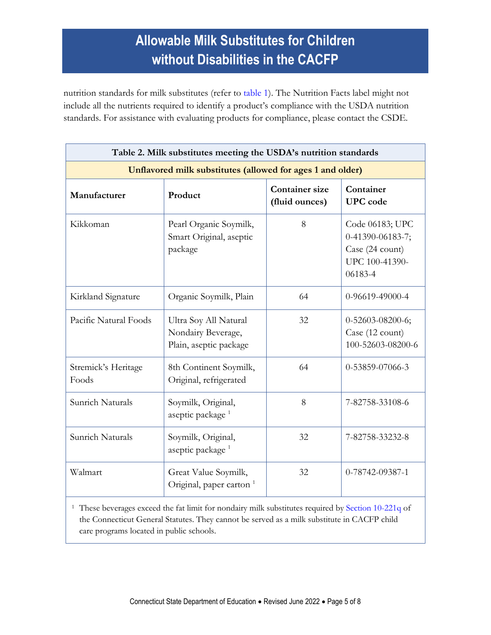nutrition standards for milk substitutes (refer to [table 1\)](#page-1-0). The Nutrition Facts label might not include all the nutrients required to identify a product's compliance with the USDA nutrition standards. For assistance with evaluating products for compliance, please contact the CSDE.

<span id="page-4-0"></span>

| Table 2. Milk substitutes meeting the USDA's nutrition standards<br>Unflavored milk substitutes (allowed for ages 1 and older) |                                                                       |    |                                                                                     |  |  |
|--------------------------------------------------------------------------------------------------------------------------------|-----------------------------------------------------------------------|----|-------------------------------------------------------------------------------------|--|--|
|                                                                                                                                |                                                                       |    |                                                                                     |  |  |
| Kikkoman                                                                                                                       | Pearl Organic Soymilk,<br>Smart Original, aseptic<br>package          | 8  | Code 06183; UPC<br>0-41390-06183-7;<br>Case (24 count)<br>UPC 100-41390-<br>06183-4 |  |  |
| Kirkland Signature                                                                                                             | Organic Soymilk, Plain                                                | 64 | 0-96619-49000-4                                                                     |  |  |
| Pacific Natural Foods                                                                                                          | Ultra Soy All Natural<br>Nondairy Beverage,<br>Plain, aseptic package | 32 | 0-52603-08200-6;<br>Case (12 count)<br>100-52603-08200-6                            |  |  |
| Stremick's Heritage<br>Foods                                                                                                   | 8th Continent Soymilk,<br>Original, refrigerated                      | 64 | 0-53859-07066-3                                                                     |  |  |
| Sunrich Naturals                                                                                                               | Soymilk, Original,<br>aseptic package <sup>1</sup>                    | 8  | 7-82758-33108-6                                                                     |  |  |
| Sunrich Naturals                                                                                                               | Soymilk, Original,<br>aseptic package <sup>1</sup>                    | 32 | 7-82758-33232-8                                                                     |  |  |
| Walmart                                                                                                                        | Great Value Soymilk,<br>Original, paper carton <sup>1</sup>           | 32 | 0-78742-09387-1                                                                     |  |  |

<sup>1</sup> These beverages exceed the fat limit for nondairy milk substitutes required by [Section 10-221q](https://www.cga.ct.gov/current/pub/chap_170.htm#sec_10-221q) of the Connecticut General Statutes. They cannot be served as a milk substitute in CACFP child care programs located in public schools.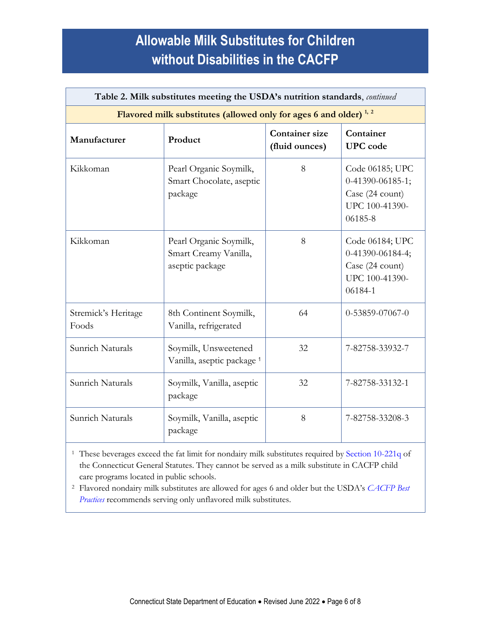| Table 2. Milk substitutes meeting the USDA's nutrition standards, continued  |                                                                    |                                         |                                                                                       |  |  |
|------------------------------------------------------------------------------|--------------------------------------------------------------------|-----------------------------------------|---------------------------------------------------------------------------------------|--|--|
| Flavored milk substitutes (allowed only for ages 6 and older) <sup>1,2</sup> |                                                                    |                                         |                                                                                       |  |  |
| Manufacturer                                                                 | Product                                                            | <b>Container size</b><br>(fluid ounces) | Container<br><b>UPC</b> code                                                          |  |  |
| Kikkoman                                                                     | Pearl Organic Soymilk,<br>Smart Chocolate, aseptic<br>package      | 8                                       | Code 06185; UPC<br>$0-41390-06185-1;$<br>Case (24 count)<br>UPC 100-41390-<br>06185-8 |  |  |
| Kikkoman                                                                     | Pearl Organic Soymilk,<br>Smart Creamy Vanilla,<br>aseptic package | 8                                       | Code 06184; UPC<br>0-41390-06184-4;<br>Case (24 count)<br>UPC 100-41390-<br>06184-1   |  |  |
| Stremick's Heritage<br>Foods                                                 | 8th Continent Soymilk,<br>Vanilla, refrigerated                    | 64                                      | 0-53859-07067-0                                                                       |  |  |
| Sunrich Naturals                                                             | Soymilk, Unsweetened<br>Vanilla, aseptic package <sup>1</sup>      | 32                                      | 7-82758-33932-7                                                                       |  |  |
| Sunrich Naturals                                                             | Soymilk, Vanilla, aseptic<br>package                               | 32                                      | 7-82758-33132-1                                                                       |  |  |
| Sunrich Naturals                                                             | Soymilk, Vanilla, aseptic<br>package                               | 8                                       | 7-82758-33208-3                                                                       |  |  |

<sup>1</sup> These beverages exceed the fat limit for nondairy milk substitutes required by [Section 10-221q](https://www.cga.ct.gov/current/pub/chap_170.htm#sec_10-221q) of the Connecticut General Statutes. They cannot be served as a milk substitute in CACFP child care programs located in public schools.

<sup>2</sup> Flavored nondairy milk substitutes are allowed for ages 6 and older but the USDA's *[CACFP Best](https://fns-prod.azureedge.us/sites/default/files/cacfp/CACFP_factBP.pdf)  [Practices](https://fns-prod.azureedge.us/sites/default/files/cacfp/CACFP_factBP.pdf)* recommends serving only unflavored milk substitutes.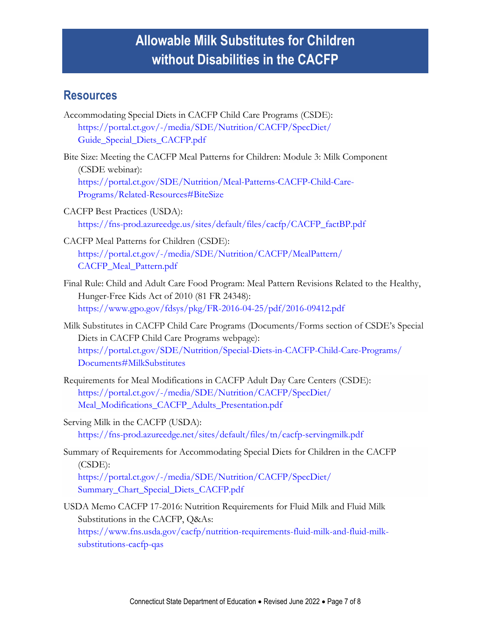#### **Resources**

- Accommodating Special Diets in CACFP Child Care Programs (CSDE): [https://portal.ct.gov/-/media/SDE/Nutrition/CACFP/SpecDiet/](https://portal.ct.gov/-/media/SDE/Nutrition/CACFP/SpecDiet/Guide_Special_Diets_CACFP.pdf) [Guide\\_Special\\_Diets\\_CACFP.pdf](https://portal.ct.gov/-/media/SDE/Nutrition/CACFP/SpecDiet/Guide_Special_Diets_CACFP.pdf)
- Bite Size: Meeting the CACFP Meal Patterns for Children: Module 3: Milk Component (CSDE webinar): [https://portal.ct.gov/SDE/Nutrition/Meal-Patterns-CACFP-Child-Care-](https://portal.ct.gov/SDE/Nutrition/Meal-Patterns-CACFP-Child-Care-Programs/Related-Resources#BiteSize)[Programs/Related-Resources#BiteSize](https://portal.ct.gov/SDE/Nutrition/Meal-Patterns-CACFP-Child-Care-Programs/Related-Resources#BiteSize)
- CACFP Best Practices (USDA): [https://fns-prod.azureedge.us/sites/default/files/cacfp/CACFP\\_factBP.pdf](https://fns-prod.azureedge.us/sites/default/files/cacfp/CACFP_factBP.pdf)
- CACFP Meal Patterns for Children (CSDE): [https://portal.ct.gov/-/media/SDE/Nutrition/CACFP/MealPattern/](https://portal.ct.gov/-/media/SDE/Nutrition/CACFP/MealPattern/CACFP_Meal_Pattern.pdf) [CACFP\\_Meal\\_Pattern.pdf](https://portal.ct.gov/-/media/SDE/Nutrition/CACFP/MealPattern/CACFP_Meal_Pattern.pdf)
- Final Rule: Child and Adult Care Food Program: Meal Pattern Revisions Related to the Healthy, Hunger-Free Kids Act of 2010 (81 FR 24348): <https://www.gpo.gov/fdsys/pkg/FR-2016-04-25/pdf/2016-09412.pdf>
- Milk Substitutes in CACFP Child Care Programs (Documents/Forms section of CSDE's Special Diets in CACFP Child Care Programs webpage): [https://portal.ct.gov/SDE/Nutrition/Special-Diets-in-CACFP-Child-Care-Programs/](https://portal.ct.gov/SDE/Nutrition/Special-Diets-in-CACFP-Child-Care-Programs/Documents#MilkSubstitutes) [Documents#MilkSubstitutes](https://portal.ct.gov/SDE/Nutrition/Special-Diets-in-CACFP-Child-Care-Programs/Documents#MilkSubstitutes)
- Requirements for Meal Modifications in CACFP Adult Day Care Centers (CSDE): [https://portal.ct.gov/-/media/SDE/Nutrition/CACFP/SpecDiet/](https://portal.ct.gov/-/media/SDE/Nutrition/CACFP/SpecDiet/Meal_Modifications_CACFP_Adults_Presentation.pdf) [Meal\\_Modifications\\_CACFP\\_Adults\\_Presentation.pdf](https://portal.ct.gov/-/media/SDE/Nutrition/CACFP/SpecDiet/Meal_Modifications_CACFP_Adults_Presentation.pdf)
- Serving Milk in the CACFP (USDA): <https://fns-prod.azureedge.net/sites/default/files/tn/cacfp-servingmilk.pdf>
- Summary of Requirements for Accommodating Special Diets for Children in the CACFP (CSDE): [https://portal.ct.gov/-/media/SDE/Nutrition/CACFP/SpecDiet/](https://portal.ct.gov/-/media/SDE/Nutrition/CACFP/SpecDiet/‌Summary_Chart_Special_Diets_CACFP.pdf) [Summary\\_Chart\\_Special\\_Diets\\_CACFP.pdf](https://portal.ct.gov/-/media/SDE/Nutrition/CACFP/SpecDiet/‌Summary_Chart_Special_Diets_CACFP.pdf)
- USDA Memo CACFP 17-2016: Nutrition Requirements for Fluid Milk and Fluid Milk Substitutions in the CACFP, Q&As: [https://www.fns.usda.gov/cacfp/nutrition-requirements-fluid-milk-and-fluid-milk](https://www.fns.usda.gov/cacfp/nutrition-requirements-fluid-milk-and-fluid-milk-substitutions-cacfp-qas)[substitutions-cacfp-qas](https://www.fns.usda.gov/cacfp/nutrition-requirements-fluid-milk-and-fluid-milk-substitutions-cacfp-qas)